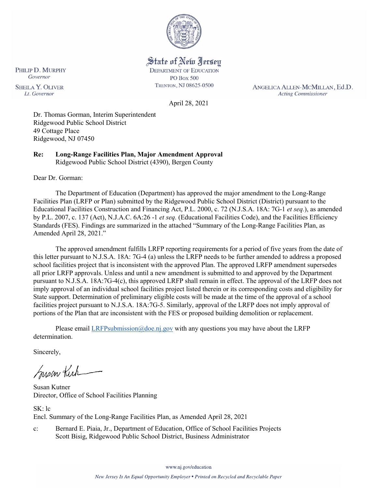

State of New Jersey **DEPARTMENT OF EDUCATION** 

**PO Box 500** TRENTON, NJ 08625-0500

ANGELICA ALLEN-MCMILLAN, Ed.D. **Acting Commissioner** 

PHILIP D. MURPHY Governor **SHEILA Y. OLIVER** Lt. Governor

April 28, 2021

Dr. Thomas Gorman, Interim Superintendent Ridgewood Public School District 49 Cottage Place Ridgewood, NJ 07450

**Re: Long-Range Facilities Plan, Major Amendment Approval**  Ridgewood Public School District (4390), Bergen County

Dear Dr. Gorman:

The Department of Education (Department) has approved the major amendment to the Long-Range Facilities Plan (LRFP or Plan) submitted by the Ridgewood Public School District (District) pursuant to the Educational Facilities Construction and Financing Act, P.L. 2000, c. 72 (N.J.S.A. 18A: 7G-1 *et seq.*), as amended by P.L. 2007, c. 137 (Act), N.J.A.C. 6A:26 -1 *et seq.* (Educational Facilities Code), and the Facilities Efficiency Standards (FES). Findings are summarized in the attached "Summary of the Long-Range Facilities Plan, as Amended April 28, 2021."

The approved amendment fulfills LRFP reporting requirements for a period of five years from the date of this letter pursuant to N.J.S.A. 18A: 7G-4 (a) unless the LRFP needs to be further amended to address a proposed school facilities project that is inconsistent with the approved Plan. The approved LRFP amendment supersedes all prior LRFP approvals. Unless and until a new amendment is submitted to and approved by the Department pursuant to N.J.S.A. 18A:7G-4(c), this approved LRFP shall remain in effect. The approval of the LRFP does not imply approval of an individual school facilities project listed therein or its corresponding costs and eligibility for State support. Determination of preliminary eligible costs will be made at the time of the approval of a school facilities project pursuant to N.J.S.A. 18A:7G-5. Similarly, approval of the LRFP does not imply approval of portions of the Plan that are inconsistent with the FES or proposed building demolition or replacement.

Please email [LRFPsubmission@doe.nj.gov](mailto:LRFPsubmission@doe.nj.gov) with any questions you may have about the LRFP determination.

Sincerely,

Susan Kich

Susan Kutner Director, Office of School Facilities Planning

SK: lc Encl. Summary of the Long-Range Facilities Plan, as Amended April 28, 2021

c: Bernard E. Piaia, Jr., Department of Education, Office of School Facilities Projects Scott Bisig, Ridgewood Public School District, Business Administrator

www.nj.gov/education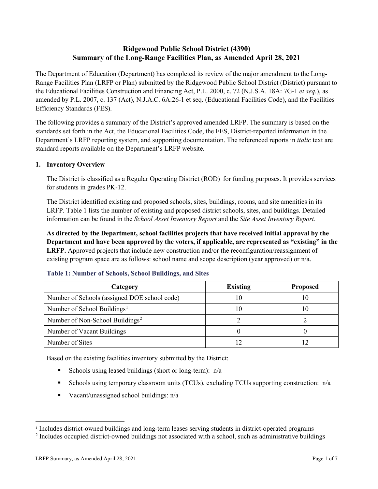# **Ridgewood Public School District (4390) Summary of the Long-Range Facilities Plan, as Amended April 28, 2021**

The Department of Education (Department) has completed its review of the major amendment to the Long-Range Facilities Plan (LRFP or Plan) submitted by the Ridgewood Public School District (District) pursuant to the Educational Facilities Construction and Financing Act, P.L. 2000, c. 72 (N.J.S.A. 18A: 7G-1 *et seq.*), as amended by P.L. 2007, c. 137 (Act), N.J.A.C. 6A:26-1 et seq. (Educational Facilities Code), and the Facilities Efficiency Standards (FES).

The following provides a summary of the District's approved amended LRFP. The summary is based on the standards set forth in the Act, the Educational Facilities Code, the FES, District-reported information in the Department's LRFP reporting system, and supporting documentation. The referenced reports in *italic* text are standard reports available on the Department's LRFP website.

#### **1. Inventory Overview**

The District is classified as a Regular Operating District (ROD) for funding purposes. It provides services for students in grades PK-12.

The District identified existing and proposed schools, sites, buildings, rooms, and site amenities in its LRFP. Table 1 lists the number of existing and proposed district schools, sites, and buildings. Detailed information can be found in the *School Asset Inventory Report* and the *Site Asset Inventory Report.*

**As directed by the Department, school facilities projects that have received initial approval by the Department and have been approved by the voters, if applicable, are represented as "existing" in the LRFP.** Approved projects that include new construction and/or the reconfiguration/reassignment of existing program space are as follows: school name and scope description (year approved) or n/a.

| Category                                     | <b>Existing</b> | <b>Proposed</b> |
|----------------------------------------------|-----------------|-----------------|
| Number of Schools (assigned DOE school code) |                 | 10              |
| Number of School Buildings <sup>1</sup>      |                 | ГO              |
| Number of Non-School Buildings <sup>2</sup>  |                 |                 |
| Number of Vacant Buildings                   |                 |                 |
| Number of Sites                              |                 |                 |

#### **Table 1: Number of Schools, School Buildings, and Sites**

Based on the existing facilities inventory submitted by the District:

- Schools using leased buildings (short or long-term):  $n/a$
- Schools using temporary classroom units (TCUs), excluding TCUs supporting construction:  $n/a$
- Vacant/unassigned school buildings:  $n/a$

 $\overline{a}$ 

<span id="page-1-1"></span><span id="page-1-0"></span>*<sup>1</sup>* Includes district-owned buildings and long-term leases serving students in district-operated programs

<sup>&</sup>lt;sup>2</sup> Includes occupied district-owned buildings not associated with a school, such as administrative buildings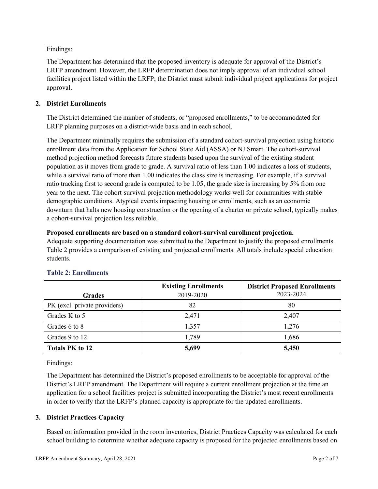Findings:

The Department has determined that the proposed inventory is adequate for approval of the District's LRFP amendment. However, the LRFP determination does not imply approval of an individual school facilities project listed within the LRFP; the District must submit individual project applications for project approval.

# **2. District Enrollments**

The District determined the number of students, or "proposed enrollments," to be accommodated for LRFP planning purposes on a district-wide basis and in each school.

The Department minimally requires the submission of a standard cohort-survival projection using historic enrollment data from the Application for School State Aid (ASSA) or NJ Smart. The cohort-survival method projection method forecasts future students based upon the survival of the existing student population as it moves from grade to grade. A survival ratio of less than 1.00 indicates a loss of students, while a survival ratio of more than 1.00 indicates the class size is increasing. For example, if a survival ratio tracking first to second grade is computed to be 1.05, the grade size is increasing by 5% from one year to the next. The cohort-survival projection methodology works well for communities with stable demographic conditions. Atypical events impacting housing or enrollments, such as an economic downturn that halts new housing construction or the opening of a charter or private school, typically makes a cohort-survival projection less reliable.

#### **Proposed enrollments are based on a standard cohort-survival enrollment projection.**

Adequate supporting documentation was submitted to the Department to justify the proposed enrollments. Table 2 provides a comparison of existing and projected enrollments. All totals include special education students.

|                              | <b>Existing Enrollments</b> | <b>District Proposed Enrollments</b> |
|------------------------------|-----------------------------|--------------------------------------|
| <b>Grades</b>                | 2019-2020                   | 2023-2024                            |
| PK (excl. private providers) | 82                          | 80                                   |
| Grades K to 5                | 2,471                       | 2,407                                |
| Grades 6 to 8                | 1,357                       | 1,276                                |
| Grades 9 to 12               | 1,789                       | 1,686                                |
| <b>Totals PK to 12</b>       | 5,699                       | 5,450                                |

# **Table 2: Enrollments**

Findings:

The Department has determined the District's proposed enrollments to be acceptable for approval of the District's LRFP amendment. The Department will require a current enrollment projection at the time an application for a school facilities project is submitted incorporating the District's most recent enrollments in order to verify that the LRFP's planned capacity is appropriate for the updated enrollments.

# **3. District Practices Capacity**

Based on information provided in the room inventories, District Practices Capacity was calculated for each school building to determine whether adequate capacity is proposed for the projected enrollments based on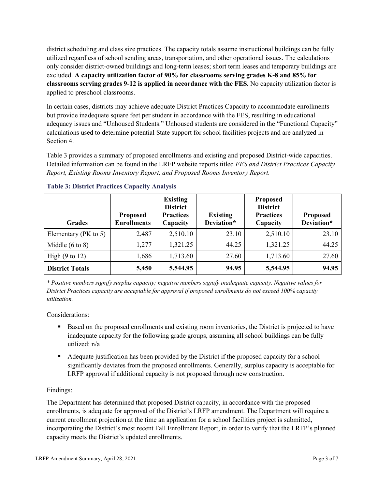district scheduling and class size practices. The capacity totals assume instructional buildings can be fully utilized regardless of school sending areas, transportation, and other operational issues. The calculations only consider district-owned buildings and long-term leases; short term leases and temporary buildings are excluded. **A capacity utilization factor of 90% for classrooms serving grades K-8 and 85% for classrooms serving grades 9-12 is applied in accordance with the FES.** No capacity utilization factor is applied to preschool classrooms.

In certain cases, districts may achieve adequate District Practices Capacity to accommodate enrollments but provide inadequate square feet per student in accordance with the FES, resulting in educational adequacy issues and "Unhoused Students." Unhoused students are considered in the "Functional Capacity" calculations used to determine potential State support for school facilities projects and are analyzed in Section 4.

Table 3 provides a summary of proposed enrollments and existing and proposed District-wide capacities. Detailed information can be found in the LRFP website reports titled *FES and District Practices Capacity Report, Existing Rooms Inventory Report, and Proposed Rooms Inventory Report.*

| <b>Grades</b>              | <b>Proposed</b><br><b>Enrollments</b> | <b>Existing</b><br><b>District</b><br><b>Practices</b><br>Capacity | <b>Existing</b><br>Deviation* | <b>Proposed</b><br><b>District</b><br><b>Practices</b><br>Capacity | <b>Proposed</b><br>Deviation* |
|----------------------------|---------------------------------------|--------------------------------------------------------------------|-------------------------------|--------------------------------------------------------------------|-------------------------------|
| Elementary ( $PK$ to 5)    | 2,487                                 | 2,510.10                                                           | 23.10                         | 2,510.10                                                           | 23.10                         |
| Middle $(6 \text{ to } 8)$ | 1,277                                 | 1,321.25                                                           | 44.25                         | 1,321.25                                                           | 44.25                         |
| High $(9 \text{ to } 12)$  | 1,686                                 | 1,713.60                                                           | 27.60                         | 1,713.60                                                           | 27.60                         |
| <b>District Totals</b>     | 5,450                                 | 5,544.95                                                           | 94.95                         | 5,544.95                                                           | 94.95                         |

# **Table 3: District Practices Capacity Analysis**

*\* Positive numbers signify surplus capacity; negative numbers signify inadequate capacity. Negative values for District Practices capacity are acceptable for approval if proposed enrollments do not exceed 100% capacity utilization.*

Considerations:

- Based on the proposed enrollments and existing room inventories, the District is projected to have inadequate capacity for the following grade groups, assuming all school buildings can be fully utilized: n/a
- Adequate justification has been provided by the District if the proposed capacity for a school significantly deviates from the proposed enrollments. Generally, surplus capacity is acceptable for LRFP approval if additional capacity is not proposed through new construction.

# Findings:

The Department has determined that proposed District capacity, in accordance with the proposed enrollments, is adequate for approval of the District's LRFP amendment. The Department will require a current enrollment projection at the time an application for a school facilities project is submitted, incorporating the District's most recent Fall Enrollment Report, in order to verify that the LRFP's planned capacity meets the District's updated enrollments.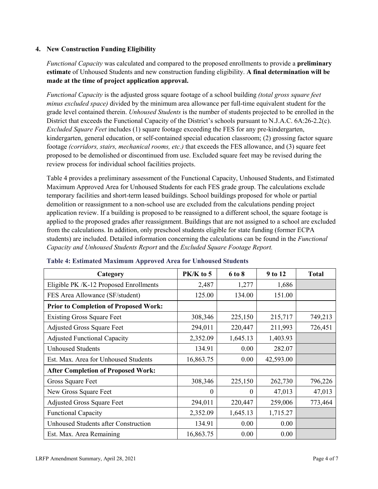# **4. New Construction Funding Eligibility**

*Functional Capacity* was calculated and compared to the proposed enrollments to provide a **preliminary estimate** of Unhoused Students and new construction funding eligibility. **A final determination will be made at the time of project application approval.**

*Functional Capacity* is the adjusted gross square footage of a school building *(total gross square feet minus excluded space)* divided by the minimum area allowance per full-time equivalent student for the grade level contained therein. *Unhoused Students* is the number of students projected to be enrolled in the District that exceeds the Functional Capacity of the District's schools pursuant to N.J.A.C. 6A:26-2.2(c). *Excluded Square Feet* includes (1) square footage exceeding the FES for any pre-kindergarten, kindergarten, general education, or self-contained special education classroom; (2) grossing factor square footage *(corridors, stairs, mechanical rooms, etc.)* that exceeds the FES allowance, and (3) square feet proposed to be demolished or discontinued from use. Excluded square feet may be revised during the review process for individual school facilities projects.

Table 4 provides a preliminary assessment of the Functional Capacity, Unhoused Students, and Estimated Maximum Approved Area for Unhoused Students for each FES grade group. The calculations exclude temporary facilities and short-term leased buildings. School buildings proposed for whole or partial demolition or reassignment to a non-school use are excluded from the calculations pending project application review. If a building is proposed to be reassigned to a different school, the square footage is applied to the proposed grades after reassignment. Buildings that are not assigned to a school are excluded from the calculations. In addition, only preschool students eligible for state funding (former ECPA students) are included. Detailed information concerning the calculations can be found in the *Functional Capacity and Unhoused Students Report* and the *Excluded Square Footage Report.*

| Category                                     | $PK/K$ to 5 | 6 to 8   | 9 to 12   | <b>Total</b> |
|----------------------------------------------|-------------|----------|-----------|--------------|
| Eligible PK /K-12 Proposed Enrollments       | 2,487       | 1,277    | 1,686     |              |
| FES Area Allowance (SF/student)              | 125.00      | 134.00   | 151.00    |              |
| <b>Prior to Completion of Proposed Work:</b> |             |          |           |              |
| <b>Existing Gross Square Feet</b>            | 308,346     | 225,150  | 215,717   | 749,213      |
| <b>Adjusted Gross Square Feet</b>            | 294,011     | 220,447  | 211,993   | 726,451      |
| <b>Adjusted Functional Capacity</b>          | 2,352.09    | 1,645.13 | 1,403.93  |              |
| <b>Unhoused Students</b>                     | 134.91      | 0.00     | 282.07    |              |
| Est. Max. Area for Unhoused Students         | 16,863.75   | 0.00     | 42,593.00 |              |
| <b>After Completion of Proposed Work:</b>    |             |          |           |              |
| Gross Square Feet                            | 308,346     | 225,150  | 262,730   | 796,226      |
| New Gross Square Feet                        | $\theta$    | $\theta$ | 47,013    | 47,013       |
| <b>Adjusted Gross Square Feet</b>            | 294,011     | 220,447  | 259,006   | 773,464      |
| <b>Functional Capacity</b>                   | 2,352.09    | 1,645.13 | 1,715.27  |              |
| <b>Unhoused Students after Construction</b>  | 134.91      | 0.00     | 0.00      |              |
| Est. Max. Area Remaining                     | 16,863.75   | 0.00     | 0.00      |              |

#### **Table 4: Estimated Maximum Approved Area for Unhoused Students**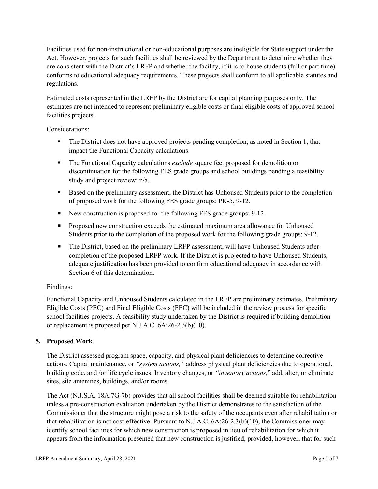Facilities used for non-instructional or non-educational purposes are ineligible for State support under the Act. However, projects for such facilities shall be reviewed by the Department to determine whether they are consistent with the District's LRFP and whether the facility, if it is to house students (full or part time) conforms to educational adequacy requirements. These projects shall conform to all applicable statutes and regulations.

Estimated costs represented in the LRFP by the District are for capital planning purposes only. The estimates are not intended to represent preliminary eligible costs or final eligible costs of approved school facilities projects.

Considerations:

- The District does not have approved projects pending completion, as noted in Section 1, that impact the Functional Capacity calculations.
- **The Functional Capacity calculations** *exclude* square feet proposed for demolition or discontinuation for the following FES grade groups and school buildings pending a feasibility study and project review: n/a.
- Based on the preliminary assessment, the District has Unhoused Students prior to the completion of proposed work for the following FES grade groups: PK-5, 9-12.
- New construction is proposed for the following FES grade groups: 9-12.
- Proposed new construction exceeds the estimated maximum area allowance for Unhoused Students prior to the completion of the proposed work for the following grade groups: 9-12.
- The District, based on the preliminary LRFP assessment, will have Unhoused Students after completion of the proposed LRFP work. If the District is projected to have Unhoused Students, adequate justification has been provided to confirm educational adequacy in accordance with Section 6 of this determination.

# Findings:

Functional Capacity and Unhoused Students calculated in the LRFP are preliminary estimates. Preliminary Eligible Costs (PEC) and Final Eligible Costs (FEC) will be included in the review process for specific school facilities projects. A feasibility study undertaken by the District is required if building demolition or replacement is proposed per N.J.A.C. 6A:26-2.3(b)(10).

# **5. Proposed Work**

The District assessed program space, capacity, and physical plant deficiencies to determine corrective actions. Capital maintenance, or *"system actions,"* address physical plant deficiencies due to operational, building code, and /or life cycle issues. Inventory changes, or *"inventory actions,*" add, alter, or eliminate sites, site amenities, buildings, and/or rooms.

The Act (N.J.S.A. 18A:7G-7b) provides that all school facilities shall be deemed suitable for rehabilitation unless a pre-construction evaluation undertaken by the District demonstrates to the satisfaction of the Commissioner that the structure might pose a risk to the safety of the occupants even after rehabilitation or that rehabilitation is not cost-effective. Pursuant to N.J.A.C. 6A:26-2.3(b)(10), the Commissioner may identify school facilities for which new construction is proposed in lieu of rehabilitation for which it appears from the information presented that new construction is justified, provided, however, that for such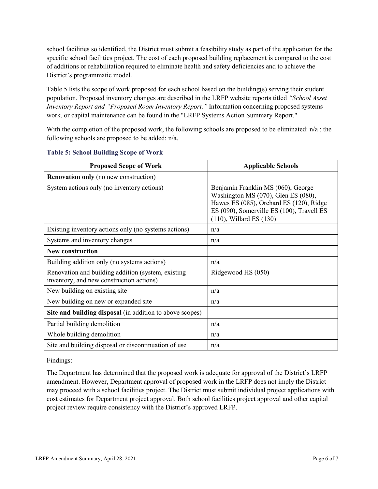school facilities so identified, the District must submit a feasibility study as part of the application for the specific school facilities project. The cost of each proposed building replacement is compared to the cost of additions or rehabilitation required to eliminate health and safety deficiencies and to achieve the District's programmatic model.

Table 5 lists the scope of work proposed for each school based on the building(s) serving their student population. Proposed inventory changes are described in the LRFP website reports titled *"School Asset Inventory Report and "Proposed Room Inventory Report."* Information concerning proposed systems work, or capital maintenance can be found in the "LRFP Systems Action Summary Report."

With the completion of the proposed work, the following schools are proposed to be eliminated:  $n/a$ ; the following schools are proposed to be added: n/a.

| <b>Proposed Scope of Work</b>                                                                  | <b>Applicable Schools</b>                                                                                                                                                                         |
|------------------------------------------------------------------------------------------------|---------------------------------------------------------------------------------------------------------------------------------------------------------------------------------------------------|
| <b>Renovation only</b> (no new construction)                                                   |                                                                                                                                                                                                   |
| System actions only (no inventory actions)                                                     | Benjamin Franklin MS (060), George<br>Washington MS (070), Glen ES (080),<br>Hawes ES (085), Orchard ES (120), Ridge<br>ES (090), Somerville ES (100), Travell ES<br>$(110)$ , Willard ES $(130)$ |
| Existing inventory actions only (no systems actions)                                           | n/a                                                                                                                                                                                               |
| Systems and inventory changes                                                                  | n/a                                                                                                                                                                                               |
| <b>New construction</b>                                                                        |                                                                                                                                                                                                   |
| Building addition only (no systems actions)                                                    | n/a                                                                                                                                                                                               |
| Renovation and building addition (system, existing<br>inventory, and new construction actions) | Ridgewood HS (050)                                                                                                                                                                                |
| New building on existing site                                                                  | n/a                                                                                                                                                                                               |
| New building on new or expanded site                                                           | n/a                                                                                                                                                                                               |
| Site and building disposal (in addition to above scopes)                                       |                                                                                                                                                                                                   |
| Partial building demolition                                                                    | n/a                                                                                                                                                                                               |
| Whole building demolition                                                                      | n/a                                                                                                                                                                                               |
| Site and building disposal or discontinuation of use                                           | n/a                                                                                                                                                                                               |

#### **Table 5: School Building Scope of Work**

Findings:

The Department has determined that the proposed work is adequate for approval of the District's LRFP amendment. However, Department approval of proposed work in the LRFP does not imply the District may proceed with a school facilities project. The District must submit individual project applications with cost estimates for Department project approval. Both school facilities project approval and other capital project review require consistency with the District's approved LRFP.